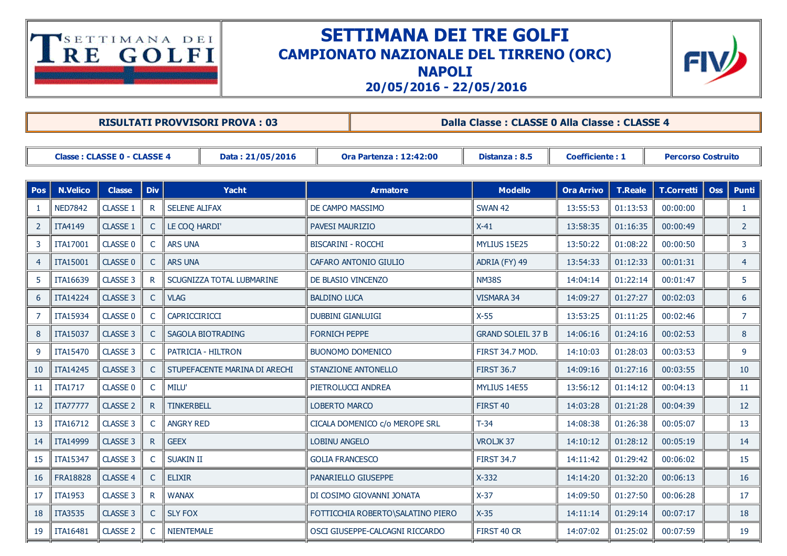## TSETTIMANA DEI

## SETTIMANA DEI TRE GOLFI CAMPIONATO NAZIONALE DEL TIRRENO (ORC)





20/05/2016 22/05/2016

|                                                 | <b>RISULTATI PROVVISORI PROVA: 03</b>          |                     |                |                               |  |                               |                                   |                          | Dalla Classe: CLASSE 0 Alla Classe: CLASSE 4 |                   |                           |              |                |  |  |
|-------------------------------------------------|------------------------------------------------|---------------------|----------------|-------------------------------|--|-------------------------------|-----------------------------------|--------------------------|----------------------------------------------|-------------------|---------------------------|--------------|----------------|--|--|
| Classe: CLASSE 0 - CLASSE 4<br>Data: 21/05/2016 |                                                |                     |                |                               |  | <b>Ora Partenza: 12:42:00</b> |                                   | Distanza: 8.5            | <b>Coefficiente: 1</b>                       |                   | <b>Percorso Costruito</b> |              |                |  |  |
| <b>Pos</b>                                      | <b>Div</b><br><b>N.Velico</b><br><b>Classe</b> |                     |                | <b>Yacht</b>                  |  | <b>Armatore</b>               | <b>Modello</b>                    | <b>Ora Arrivo</b>        | <b>T.Reale</b>                               | <b>T.Corretti</b> | <b>Oss</b>                | <b>Punti</b> |                |  |  |
|                                                 | <b>NED7842</b>                                 | <b>CLASSE 1</b>     | $\mathsf{R}$   | <b>SELENE ALIFAX</b>          |  | DE CAMPO MASSIMO              |                                   | <b>SWAN 42</b>           | 13:55:53                                     | 01:13:53          | 00:00:00                  |              | $\mathbf{1}$   |  |  |
| 2                                               | <b>ITA4149</b>                                 | CLASSE 1            | C              | LE COQ HARDI'                 |  | <b>PAVESI MAURIZIO</b>        |                                   | $X-41$                   | 13:58:35                                     | 01:16:35          | 00:00:49                  |              | $2^{\circ}$    |  |  |
| 3                                               | <b>ITA17001</b>                                | CLASSE 0            | C              | <b>ARS UNA</b>                |  | <b>BISCARINI - ROCCHI</b>     |                                   | MYLIUS 15E25             | 13:50:22                                     | 01:08:22          | 00:00:50                  |              | 3              |  |  |
| 4                                               | <b>ITA15001</b>                                | CLASSE 0            |                | <b>ARS UNA</b>                |  | CAFARO ANTONIO GIULIO         |                                   | ADRIA (FY) 49            | 13:54:33                                     | 01:12:33          | 00:01:31                  |              | $\overline{4}$ |  |  |
| 5                                               | ITA16639                                       | CLASSE 3            | R              | SCUGNIZZA TOTAL LUBMARINE     |  | DE BLASIO VINCENZO            |                                   | <b>NM38S</b>             | 14:04:14                                     | 01:22:14          | 00:01:47                  |              | 5              |  |  |
| 6                                               | <b>ITA14224</b>                                | CLASSE 3            | C              | <b>VLAG</b>                   |  | <b>BALDINO LUCA</b>           |                                   | VISMARA 34               | 14:09:27                                     | 01:27:27          | 00:02:03                  |              | 6              |  |  |
| 7                                               | ITA15934                                       | <b>CLASSE 0</b>     | C              | CAPRICCIRICCI                 |  | <b>DUBBINI GIANLUIGI</b>      |                                   | $X-55$                   | 13:53:25                                     | 01:11:25          | 00:02:46                  |              | $\overline{7}$ |  |  |
| 8                                               | ITA15037                                       | CLASSE 3            | C              | SAGOLA BIOTRADING             |  | <b>FORNICH PEPPE</b>          |                                   | <b>GRAND SOLEIL 37 B</b> | 14:06:16                                     | 01:24:16          | 00:02:53                  |              | 8              |  |  |
| 9                                               | ITA15470                                       | CLASSE 3            | C              | PATRICIA - HILTRON            |  | <b>BUONOMO DOMENICO</b>       |                                   | FIRST 34.7 MOD.          | 14:10:03                                     | 01:28:03          | 00:03:53                  |              | 9              |  |  |
| 10                                              | ITA14245                                       | CLASSE 3            | $\mathsf{C}$   | STUPEFACENTE MARINA DI ARECHI |  |                               | <b>STANZIONE ANTONELLO</b>        | <b>FIRST 36.7</b>        | 14:09:16                                     | 01:27:16          | 00:03:55                  |              | 10             |  |  |
| 11                                              | <b>ITA1717</b>                                 | CLASSE 0            |                | MILU'                         |  | PIETROLUCCI ANDREA            |                                   | MYLIUS 14E55             | 13:56:12                                     | 01:14:12          | 00:04:13                  |              | 11             |  |  |
| 12                                              | <b>ITA77777</b>                                | <b>CLASSE 2</b>     | $\mathsf{R}$   | <b>TINKERBELL</b>             |  | <b>LOBERTO MARCO</b>          |                                   | FIRST <sub>40</sub>      | 14:03:28                                     | 01:21:28          | 00:04:39                  |              | 12             |  |  |
| 13                                              | ITA16712                                       | CLASSE 3            | C              | <b>ANGRY RED</b>              |  |                               | CICALA DOMENICO c/o MEROPE SRL    | $T-34$                   | 14:08:38                                     | 01:26:38          | 00:05:07                  |              | 13             |  |  |
| 14                                              | ITA14999                                       | CLASSE <sub>3</sub> | $\mathsf{R}$   | <b>GEEX</b>                   |  | <b>LOBINU ANGELO</b>          |                                   | VROLJK37                 | 14:10:12                                     | 01:28:12          | 00:05:19                  |              | 14             |  |  |
| 15                                              | ITA15347                                       | CLASSE <sub>3</sub> | C              | <b>SUAKIN II</b>              |  | <b>GOLIA FRANCESCO</b>        |                                   | <b>FIRST 34.7</b>        | 14:11:42                                     | 01:29:42          | 00:06:02                  |              | 15             |  |  |
| 16                                              | FRA18828                                       | CLASSE 4            | C              | <b>ELIXIR</b>                 |  | PANARIELLO GIUSEPPE           |                                   | $X-332$                  | 14:14:20                                     | 01:32:20          | 00:06:13                  |              | 16             |  |  |
| 17                                              | <b>ITA1953</b>                                 | CLASSE 3            | R              | <b>WANAX</b>                  |  |                               | DI COSIMO GIOVANNI JONATA         | $X-37$                   | 14:09:50                                     | 01:27:50          | 00:06:28                  |              | 17             |  |  |
| 18                                              | <b>ITA3535</b>                                 | CLASSE <sub>3</sub> |                | <b>SLY FOX</b>                |  |                               | FOTTICCHIA ROBERTO\SALATINO PIERO | $X-35$                   | 14:11:14                                     | 01:29:14          | 00:07:17                  |              | 18             |  |  |
| 19                                              | <b>ITA16481</b>                                | <b>CLASSE 2</b>     | <sup>-</sup> C | <b>NIENTEMALE</b>             |  |                               | OSCI GIUSEPPE-CALCAGNI RICCARDO   | FIRST 40 CR              | 14:07:02                                     | 01:25:02          | 00:07:59                  |              | 19             |  |  |